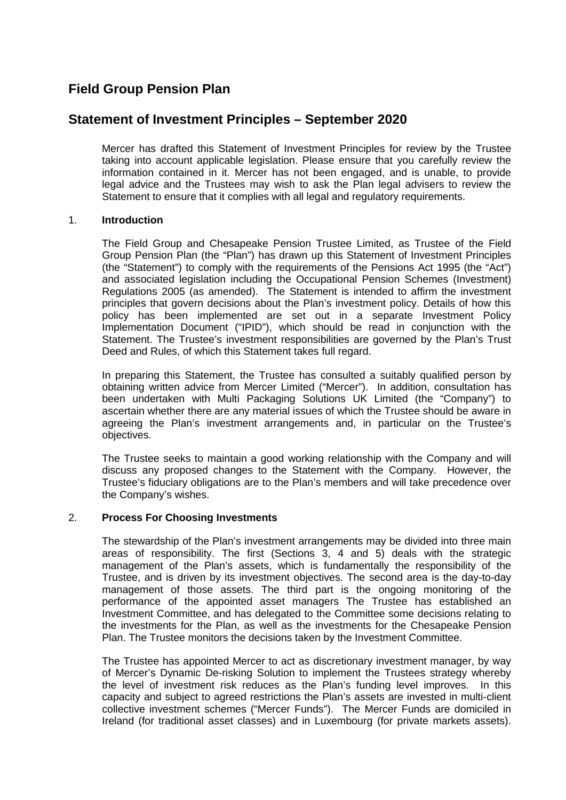# **Field Group Pension Plan**

## **Statement of Investment Principles – September 2020**

Mercer has drafted this Statement of Investment Principles for review by the Trustee taking into account applicable legislation. Please ensure that you carefully review the information contained in it. Mercer has not been engaged, and is unable, to provide legal advice and the Trustees may wish to ask the Plan legal advisers to review the Statement to ensure that it complies with all legal and regulatory requirements.

### 1. **Introduction**

The Field Group and Chesapeake Pension Trustee Limited, as Trustee of the Field Group Pension Plan (the "Plan") has drawn up this Statement of Investment Principles (the "Statement") to comply with the requirements of the Pensions Act 1995 (the "Act") and associated legislation including the Occupational Pension Schemes (Investment) Regulations 2005 (as amended). The Statement is intended to affirm the investment principles that govern decisions about the Plan's investment policy. Details of how this policy has been implemented are set out in a separate Investment Policy Implementation Document ("IPID"), which should be read in conjunction with the Statement. The Trustee's investment responsibilities are governed by the Plan's Trust Deed and Rules, of which this Statement takes full regard.

In preparing this Statement, the Trustee has consulted a suitably qualified person by obtaining written advice from Mercer Limited ("Mercer"). In addition, consultation has been undertaken with Multi Packaging Solutions UK Limited (the "Company") to ascertain whether there are any material issues of which the Trustee should be aware in agreeing the Plan's investment arrangements and, in particular on the Trustee's objectives.

The Trustee seeks to maintain a good working relationship with the Company and will discuss any proposed changes to the Statement with the Company. However, the Trustee's fiduciary obligations are to the Plan's members and will take precedence over the Company's wishes.

#### 2. **Process For Choosing Investments**

The stewardship of the Plan's investment arrangements may be divided into three main areas of responsibility. The first (Sections 3, 4 and 5) deals with the strategic management of the Plan's assets, which is fundamentally the responsibility of the Trustee, and is driven by its investment objectives. The second area is the day-to-day management of those assets. The third part is the ongoing monitoring of the performance of the appointed asset managers The Trustee has established an Investment Committee, and has delegated to the Committee some decisions relating to the investments for the Plan, as well as the investments for the Chesapeake Pension Plan. The Trustee monitors the decisions taken by the Investment Committee.

The Trustee has appointed Mercer to act as discretionary investment manager, by way of Mercer's Dynamic De-risking Solution to implement the Trustees strategy whereby the level of investment risk reduces as the Plan's funding level improves. In this capacity and subject to agreed restrictions the Plan's assets are invested in multi-client collective investment schemes ("Mercer Funds"). The Mercer Funds are domiciled in Ireland (for traditional asset classes) and in Luxembourg (for private markets assets).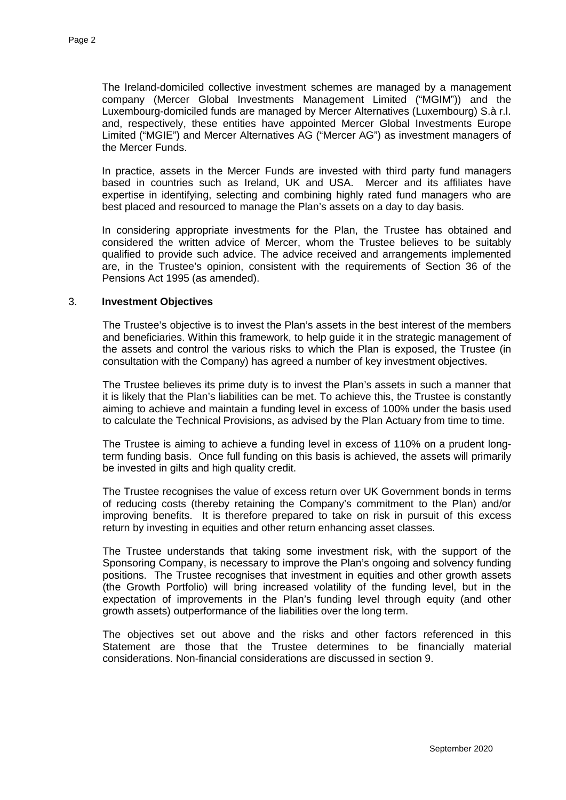The Ireland-domiciled collective investment schemes are managed by a management company (Mercer Global Investments Management Limited ("MGIM")) and the Luxembourg-domiciled funds are managed by Mercer Alternatives (Luxembourg) S.à r.l. and, respectively, these entities have appointed Mercer Global Investments Europe Limited ("MGIE") and Mercer Alternatives AG ("Mercer AG") as investment managers of the Mercer Funds.

In practice, assets in the Mercer Funds are invested with third party fund managers based in countries such as Ireland, UK and USA. Mercer and its affiliates have expertise in identifying, selecting and combining highly rated fund managers who are best placed and resourced to manage the Plan's assets on a day to day basis.

In considering appropriate investments for the Plan, the Trustee has obtained and considered the written advice of Mercer, whom the Trustee believes to be suitably qualified to provide such advice. The advice received and arrangements implemented are, in the Trustee's opinion, consistent with the requirements of Section 36 of the Pensions Act 1995 (as amended).

#### 3. **Investment Objectives**

The Trustee's objective is to invest the Plan's assets in the best interest of the members and beneficiaries. Within this framework, to help guide it in the strategic management of the assets and control the various risks to which the Plan is exposed, the Trustee (in consultation with the Company) has agreed a number of key investment objectives.

The Trustee believes its prime duty is to invest the Plan's assets in such a manner that it is likely that the Plan's liabilities can be met. To achieve this, the Trustee is constantly aiming to achieve and maintain a funding level in excess of 100% under the basis used to calculate the Technical Provisions, as advised by the Plan Actuary from time to time.

The Trustee is aiming to achieve a funding level in excess of 110% on a prudent longterm funding basis. Once full funding on this basis is achieved, the assets will primarily be invested in gilts and high quality credit.

The Trustee recognises the value of excess return over UK Government bonds in terms of reducing costs (thereby retaining the Company's commitment to the Plan) and/or improving benefits. It is therefore prepared to take on risk in pursuit of this excess return by investing in equities and other return enhancing asset classes.

The Trustee understands that taking some investment risk, with the support of the Sponsoring Company, is necessary to improve the Plan's ongoing and solvency funding positions. The Trustee recognises that investment in equities and other growth assets (the Growth Portfolio) will bring increased volatility of the funding level, but in the expectation of improvements in the Plan's funding level through equity (and other growth assets) outperformance of the liabilities over the long term.

The objectives set out above and the risks and other factors referenced in this Statement are those that the Trustee determines to be financially material considerations. Non-financial considerations are discussed in section 9.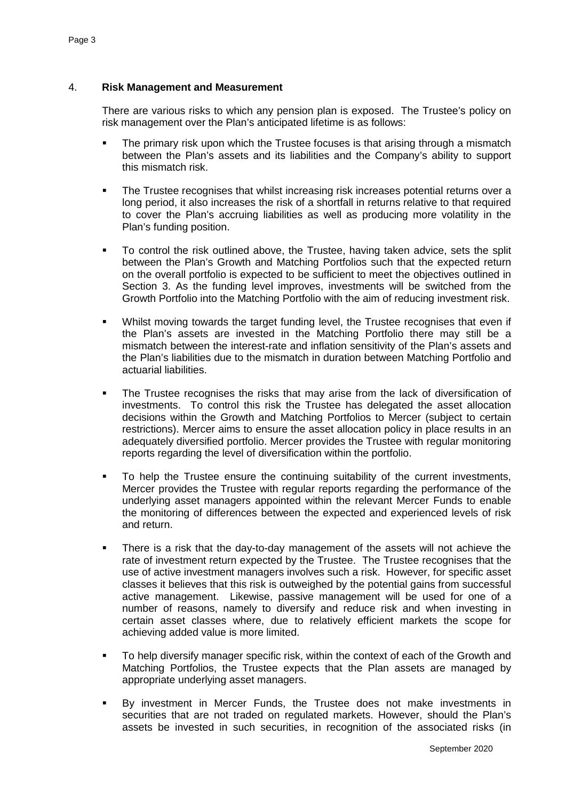### 4. **Risk Management and Measurement**

There are various risks to which any pension plan is exposed. The Trustee's policy on risk management over the Plan's anticipated lifetime is as follows:

- The primary risk upon which the Trustee focuses is that arising through a mismatch between the Plan's assets and its liabilities and the Company's ability to support this mismatch risk.
- The Trustee recognises that whilst increasing risk increases potential returns over a long period, it also increases the risk of a shortfall in returns relative to that required to cover the Plan's accruing liabilities as well as producing more volatility in the Plan's funding position.
- To control the risk outlined above, the Trustee, having taken advice, sets the split between the Plan's Growth and Matching Portfolios such that the expected return on the overall portfolio is expected to be sufficient to meet the objectives outlined in Section 3. As the funding level improves, investments will be switched from the Growth Portfolio into the Matching Portfolio with the aim of reducing investment risk.
- Whilst moving towards the target funding level, the Trustee recognises that even if the Plan's assets are invested in the Matching Portfolio there may still be a mismatch between the interest-rate and inflation sensitivity of the Plan's assets and the Plan's liabilities due to the mismatch in duration between Matching Portfolio and actuarial liabilities.
- The Trustee recognises the risks that may arise from the lack of diversification of investments. To control this risk the Trustee has delegated the asset allocation decisions within the Growth and Matching Portfolios to Mercer (subject to certain restrictions). Mercer aims to ensure the asset allocation policy in place results in an adequately diversified portfolio. Mercer provides the Trustee with regular monitoring reports regarding the level of diversification within the portfolio.
- To help the Trustee ensure the continuing suitability of the current investments, Mercer provides the Trustee with regular reports regarding the performance of the underlying asset managers appointed within the relevant Mercer Funds to enable the monitoring of differences between the expected and experienced levels of risk and return.
- **There is a risk that the day-to-day management of the assets will not achieve the** rate of investment return expected by the Trustee. The Trustee recognises that the use of active investment managers involves such a risk. However, for specific asset classes it believes that this risk is outweighed by the potential gains from successful active management. Likewise, passive management will be used for one of a number of reasons, namely to diversify and reduce risk and when investing in certain asset classes where, due to relatively efficient markets the scope for achieving added value is more limited.
- To help diversify manager specific risk, within the context of each of the Growth and Matching Portfolios, the Trustee expects that the Plan assets are managed by appropriate underlying asset managers.
- By investment in Mercer Funds, the Trustee does not make investments in securities that are not traded on regulated markets. However, should the Plan's assets be invested in such securities, in recognition of the associated risks (in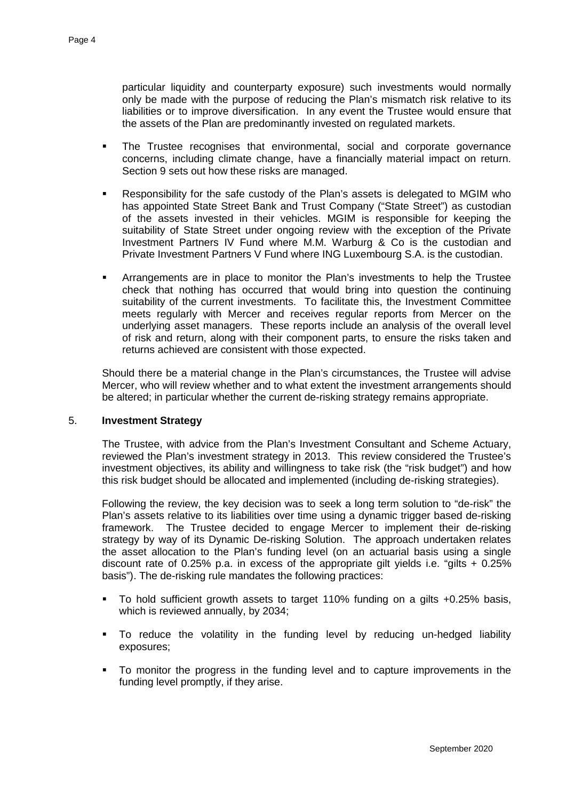particular liquidity and counterparty exposure) such investments would normally only be made with the purpose of reducing the Plan's mismatch risk relative to its liabilities or to improve diversification. In any event the Trustee would ensure that the assets of the Plan are predominantly invested on regulated markets.

- The Trustee recognises that environmental, social and corporate governance concerns, including climate change, have a financially material impact on return. Section 9 sets out how these risks are managed.
- Responsibility for the safe custody of the Plan's assets is delegated to MGIM who has appointed State Street Bank and Trust Company ("State Street") as custodian of the assets invested in their vehicles. MGIM is responsible for keeping the suitability of State Street under ongoing review with the exception of the Private Investment Partners IV Fund where M.M. Warburg & Co is the custodian and Private Investment Partners V Fund where ING Luxembourg S.A. is the custodian.
- Arrangements are in place to monitor the Plan's investments to help the Trustee check that nothing has occurred that would bring into question the continuing suitability of the current investments. To facilitate this, the Investment Committee meets regularly with Mercer and receives regular reports from Mercer on the underlying asset managers. These reports include an analysis of the overall level of risk and return, along with their component parts, to ensure the risks taken and returns achieved are consistent with those expected.

Should there be a material change in the Plan's circumstances, the Trustee will advise Mercer, who will review whether and to what extent the investment arrangements should be altered; in particular whether the current de-risking strategy remains appropriate.

## 5. **Investment Strategy**

 The Trustee, with advice from the Plan's Investment Consultant and Scheme Actuary, reviewed the Plan's investment strategy in 2013. This review considered the Trustee's investment objectives, its ability and willingness to take risk (the "risk budget") and how this risk budget should be allocated and implemented (including de-risking strategies).

Following the review, the key decision was to seek a long term solution to "de-risk" the Plan's assets relative to its liabilities over time using a dynamic trigger based de-risking framework. The Trustee decided to engage Mercer to implement their de-risking strategy by way of its Dynamic De-risking Solution. The approach undertaken relates the asset allocation to the Plan's funding level (on an actuarial basis using a single discount rate of 0.25% p.a. in excess of the appropriate gilt yields i.e. "gilts  $+$  0.25% basis"). The de-risking rule mandates the following practices:

- To hold sufficient growth assets to target 110% funding on a gilts +0.25% basis, which is reviewed annually, by 2034;
- To reduce the volatility in the funding level by reducing un-hedged liability exposures;
- To monitor the progress in the funding level and to capture improvements in the funding level promptly, if they arise.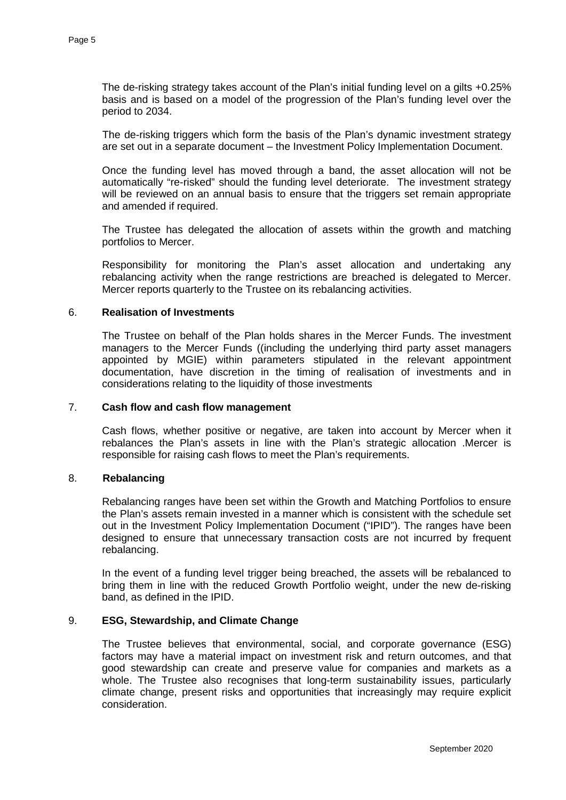The de-risking strategy takes account of the Plan's initial funding level on a gilts +0.25% basis and is based on a model of the progression of the Plan's funding level over the period to 2034.

 The de-risking triggers which form the basis of the Plan's dynamic investment strategy are set out in a separate document – the Investment Policy Implementation Document.

Once the funding level has moved through a band, the asset allocation will not be automatically "re-risked" should the funding level deteriorate. The investment strategy will be reviewed on an annual basis to ensure that the triggers set remain appropriate and amended if required.

The Trustee has delegated the allocation of assets within the growth and matching portfolios to Mercer.

Responsibility for monitoring the Plan's asset allocation and undertaking any rebalancing activity when the range restrictions are breached is delegated to Mercer. Mercer reports quarterly to the Trustee on its rebalancing activities.

#### 6. **Realisation of Investments**

The Trustee on behalf of the Plan holds shares in the Mercer Funds. The investment managers to the Mercer Funds ((including the underlying third party asset managers appointed by MGIE) within parameters stipulated in the relevant appointment documentation, have discretion in the timing of realisation of investments and in considerations relating to the liquidity of those investments

#### 7. **Cash flow and cash flow management**

Cash flows, whether positive or negative, are taken into account by Mercer when it rebalances the Plan's assets in line with the Plan's strategic allocation .Mercer is responsible for raising cash flows to meet the Plan's requirements.

#### 8. **Rebalancing**

Rebalancing ranges have been set within the Growth and Matching Portfolios to ensure the Plan's assets remain invested in a manner which is consistent with the schedule set out in the Investment Policy Implementation Document ("IPID"). The ranges have been designed to ensure that unnecessary transaction costs are not incurred by frequent rebalancing.

In the event of a funding level trigger being breached, the assets will be rebalanced to bring them in line with the reduced Growth Portfolio weight, under the new de-risking band, as defined in the IPID.

#### 9. **ESG, Stewardship, and Climate Change**

The Trustee believes that environmental, social, and corporate governance (ESG) factors may have a material impact on investment risk and return outcomes, and that good stewardship can create and preserve value for companies and markets as a whole. The Trustee also recognises that long-term sustainability issues, particularly climate change, present risks and opportunities that increasingly may require explicit consideration.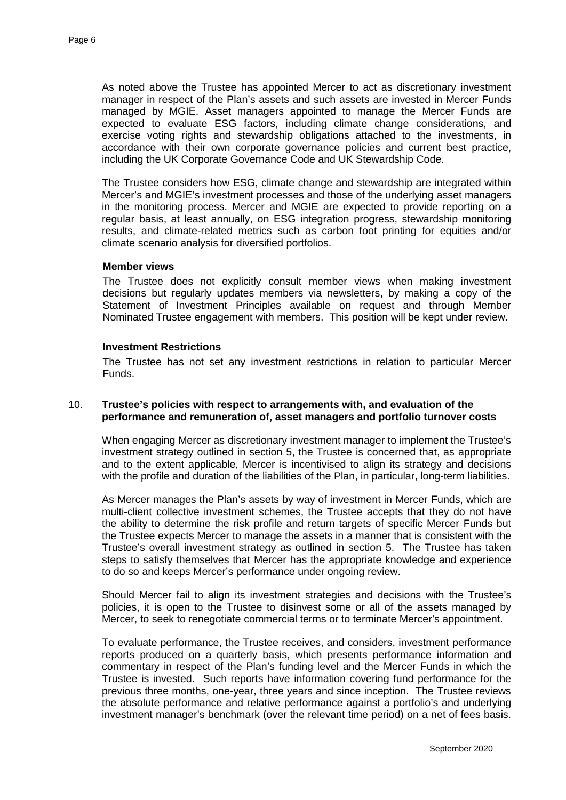As noted above the Trustee has appointed Mercer to act as discretionary investment manager in respect of the Plan's assets and such assets are invested in Mercer Funds managed by MGIE. Asset managers appointed to manage the Mercer Funds are expected to evaluate ESG factors, including climate change considerations, and exercise voting rights and stewardship obligations attached to the investments, in accordance with their own corporate governance policies and current best practice, including the UK Corporate Governance Code and UK Stewardship Code.

The Trustee considers how ESG, climate change and stewardship are integrated within Mercer's and MGIE's investment processes and those of the underlying asset managers in the monitoring process. Mercer and MGIE are expected to provide reporting on a regular basis, at least annually, on ESG integration progress, stewardship monitoring results, and climate-related metrics such as carbon foot printing for equities and/or climate scenario analysis for diversified portfolios.

#### **Member views**

The Trustee does not explicitly consult member views when making investment decisions but regularly updates members via newsletters, by making a copy of the Statement of Investment Principles available on request and through Member Nominated Trustee engagement with members. This position will be kept under review.

#### **Investment Restrictions**

The Trustee has not set any investment restrictions in relation to particular Mercer Funds.

#### 10. **Trustee's policies with respect to arrangements with, and evaluation of the performance and remuneration of, asset managers and portfolio turnover costs**

When engaging Mercer as discretionary investment manager to implement the Trustee's investment strategy outlined in section 5, the Trustee is concerned that, as appropriate and to the extent applicable, Mercer is incentivised to align its strategy and decisions with the profile and duration of the liabilities of the Plan, in particular, long-term liabilities.

As Mercer manages the Plan's assets by way of investment in Mercer Funds, which are multi-client collective investment schemes, the Trustee accepts that they do not have the ability to determine the risk profile and return targets of specific Mercer Funds but the Trustee expects Mercer to manage the assets in a manner that is consistent with the Trustee's overall investment strategy as outlined in section 5. The Trustee has taken steps to satisfy themselves that Mercer has the appropriate knowledge and experience to do so and keeps Mercer's performance under ongoing review.

Should Mercer fail to align its investment strategies and decisions with the Trustee's policies, it is open to the Trustee to disinvest some or all of the assets managed by Mercer, to seek to renegotiate commercial terms or to terminate Mercer's appointment.

To evaluate performance, the Trustee receives, and considers, investment performance reports produced on a quarterly basis, which presents performance information and commentary in respect of the Plan's funding level and the Mercer Funds in which the Trustee is invested. Such reports have information covering fund performance for the previous three months, one-year, three years and since inception. The Trustee reviews the absolute performance and relative performance against a portfolio's and underlying investment manager's benchmark (over the relevant time period) on a net of fees basis.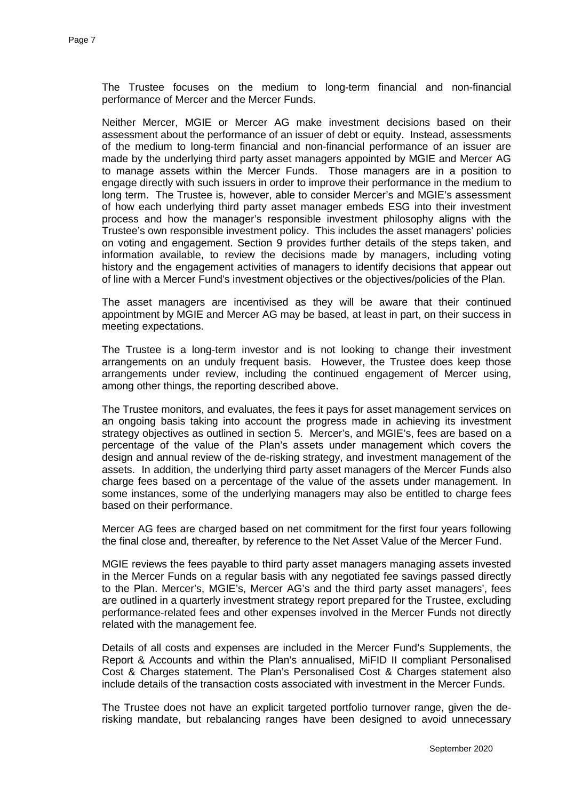The Trustee focuses on the medium to long-term financial and non-financial performance of Mercer and the Mercer Funds.

Neither Mercer, MGIE or Mercer AG make investment decisions based on their assessment about the performance of an issuer of debt or equity. Instead, assessments of the medium to long-term financial and non-financial performance of an issuer are made by the underlying third party asset managers appointed by MGIE and Mercer AG to manage assets within the Mercer Funds. Those managers are in a position to engage directly with such issuers in order to improve their performance in the medium to long term. The Trustee is, however, able to consider Mercer's and MGIE's assessment of how each underlying third party asset manager embeds ESG into their investment process and how the manager's responsible investment philosophy aligns with the Trustee's own responsible investment policy. This includes the asset managers' policies on voting and engagement. Section 9 provides further details of the steps taken, and information available, to review the decisions made by managers, including voting history and the engagement activities of managers to identify decisions that appear out of line with a Mercer Fund's investment objectives or the objectives/policies of the Plan.

The asset managers are incentivised as they will be aware that their continued appointment by MGIE and Mercer AG may be based, at least in part, on their success in meeting expectations.

The Trustee is a long-term investor and is not looking to change their investment arrangements on an unduly frequent basis. However, the Trustee does keep those arrangements under review, including the continued engagement of Mercer using, among other things, the reporting described above.

The Trustee monitors, and evaluates, the fees it pays for asset management services on an ongoing basis taking into account the progress made in achieving its investment strategy objectives as outlined in section 5. Mercer's, and MGIE's, fees are based on a percentage of the value of the Plan's assets under management which covers the design and annual review of the de-risking strategy, and investment management of the assets. In addition, the underlying third party asset managers of the Mercer Funds also charge fees based on a percentage of the value of the assets under management. In some instances, some of the underlying managers may also be entitled to charge fees based on their performance.

Mercer AG fees are charged based on net commitment for the first four years following the final close and, thereafter, by reference to the Net Asset Value of the Mercer Fund.

MGIE reviews the fees payable to third party asset managers managing assets invested in the Mercer Funds on a regular basis with any negotiated fee savings passed directly to the Plan. Mercer's, MGIE's, Mercer AG's and the third party asset managers', fees are outlined in a quarterly investment strategy report prepared for the Trustee, excluding performance-related fees and other expenses involved in the Mercer Funds not directly related with the management fee.

Details of all costs and expenses are included in the Mercer Fund's Supplements, the Report & Accounts and within the Plan's annualised, MiFID II compliant Personalised Cost & Charges statement. The Plan's Personalised Cost & Charges statement also include details of the transaction costs associated with investment in the Mercer Funds.

The Trustee does not have an explicit targeted portfolio turnover range, given the derisking mandate, but rebalancing ranges have been designed to avoid unnecessary